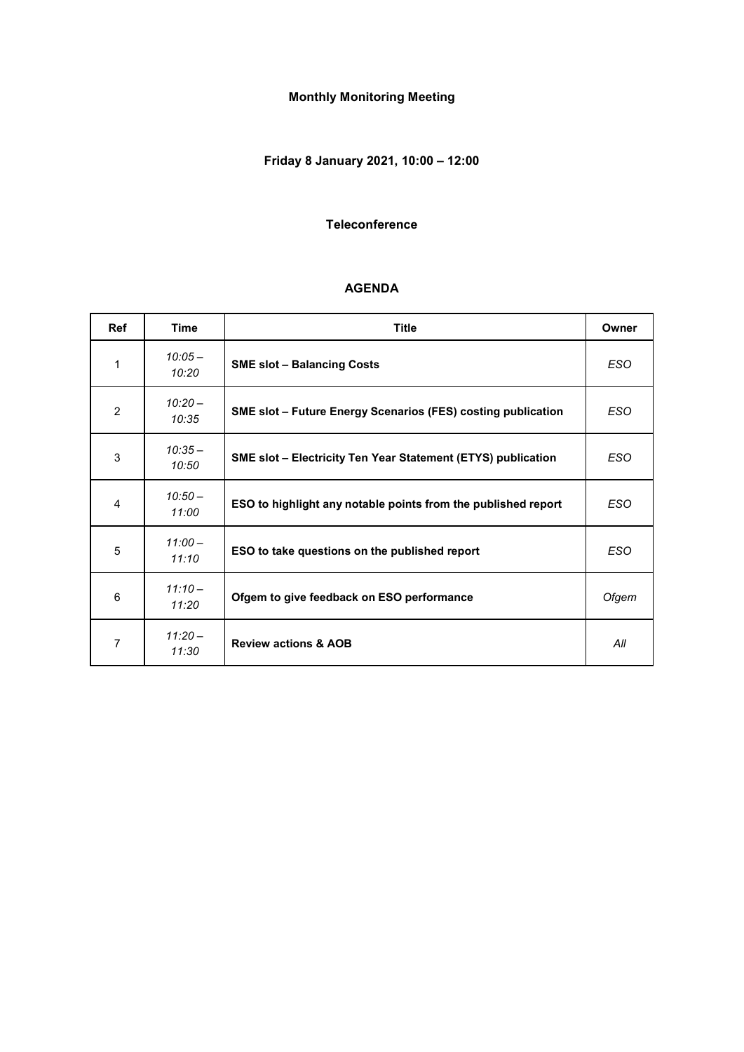# **Monthly Monitoring Meeting**

# **Friday 8 January 2021, 10:00 – 12:00**

#### **Teleconference**

#### **AGENDA**

| <b>Ref</b> | Time               | <b>Title</b>                                                        | Owner      |
|------------|--------------------|---------------------------------------------------------------------|------------|
| 1          | $10:05 -$<br>10:20 | <b>SME slot - Balancing Costs</b>                                   | <b>ESO</b> |
| 2          | $10:20 -$<br>10:35 | <b>SME slot - Future Energy Scenarios (FES) costing publication</b> | <b>ESO</b> |
| 3          | $10:35-$<br>10:50  | <b>SME slot - Electricity Ten Year Statement (ETYS) publication</b> | <b>ESO</b> |
| 4          | $10:50-$<br>11:00  | ESO to highlight any notable points from the published report       | <b>ESO</b> |
| 5          | $11:00-$<br>11:10  | ESO to take questions on the published report                       | <b>ESO</b> |
| 6          | $11:10-$<br>11:20  | Ofgem to give feedback on ESO performance                           | Ofgem      |
| 7          | $11:20-$<br>11:30  | <b>Review actions &amp; AOB</b>                                     | All        |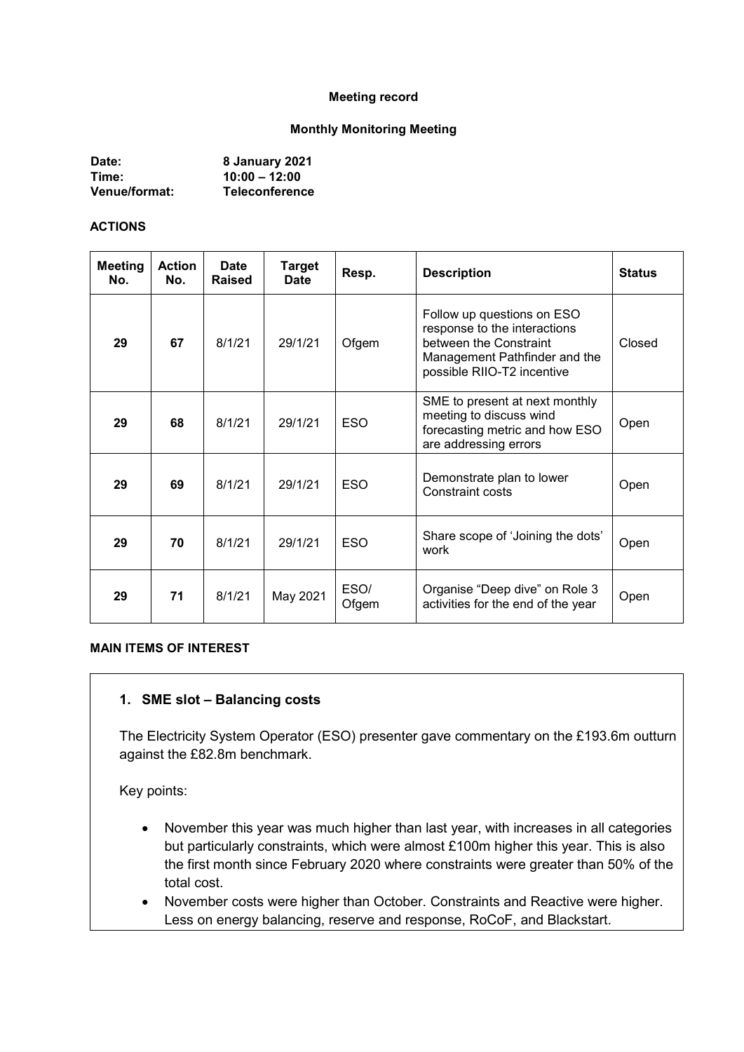#### **Meeting record**

#### **Monthly Monitoring Meeting**

| Date:                | 8 January 2021        |
|----------------------|-----------------------|
| Time:                | $10:00 - 12:00$       |
| <b>Venue/format:</b> | <b>Teleconference</b> |

#### **ACTIONS**

| Meeting<br>No. | <b>Action</b><br>No. | <b>Date</b><br>Raised | <b>Target</b><br>Date | Resp.         | <b>Description</b>                                                                                                                                  | <b>Status</b> |
|----------------|----------------------|-----------------------|-----------------------|---------------|-----------------------------------------------------------------------------------------------------------------------------------------------------|---------------|
| 29             | 67                   | 8/1/21                | 29/1/21               | Ofgem         | Follow up questions on ESO<br>response to the interactions<br>between the Constraint<br>Management Pathfinder and the<br>possible RIIO-T2 incentive | Closed        |
| 29             | 68                   | 8/1/21                | 29/1/21               | <b>ESO</b>    | SME to present at next monthly<br>meeting to discuss wind<br>forecasting metric and how ESO<br>are addressing errors                                | Open          |
| 29             | 69                   | 8/1/21                | 29/1/21               | <b>ESO</b>    | Demonstrate plan to lower<br>Constraint costs                                                                                                       | Open          |
| 29             | 70                   | 8/1/21                | 29/1/21               | <b>ESO</b>    | Share scope of 'Joining the dots'<br>work                                                                                                           | Open          |
| 29             | 71                   | 8/1/21                | May 2021              | ESO/<br>Ofgem | Organise "Deep dive" on Role 3<br>activities for the end of the year                                                                                | Open          |

#### **MAIN ITEMS OF INTEREST**

#### **1. SME slot – Balancing costs**

The Electricity System Operator (ESO) presenter gave commentary on the £193.6m outturn against the £82.8m benchmark.

Key points:

- November this year was much higher than last year, with increases in all categories but particularly constraints, which were almost £100m higher this year. This is also the first month since February 2020 where constraints were greater than 50% of the total cost.
- November costs were higher than October. Constraints and Reactive were higher. Less on energy balancing, reserve and response, RoCoF, and Blackstart.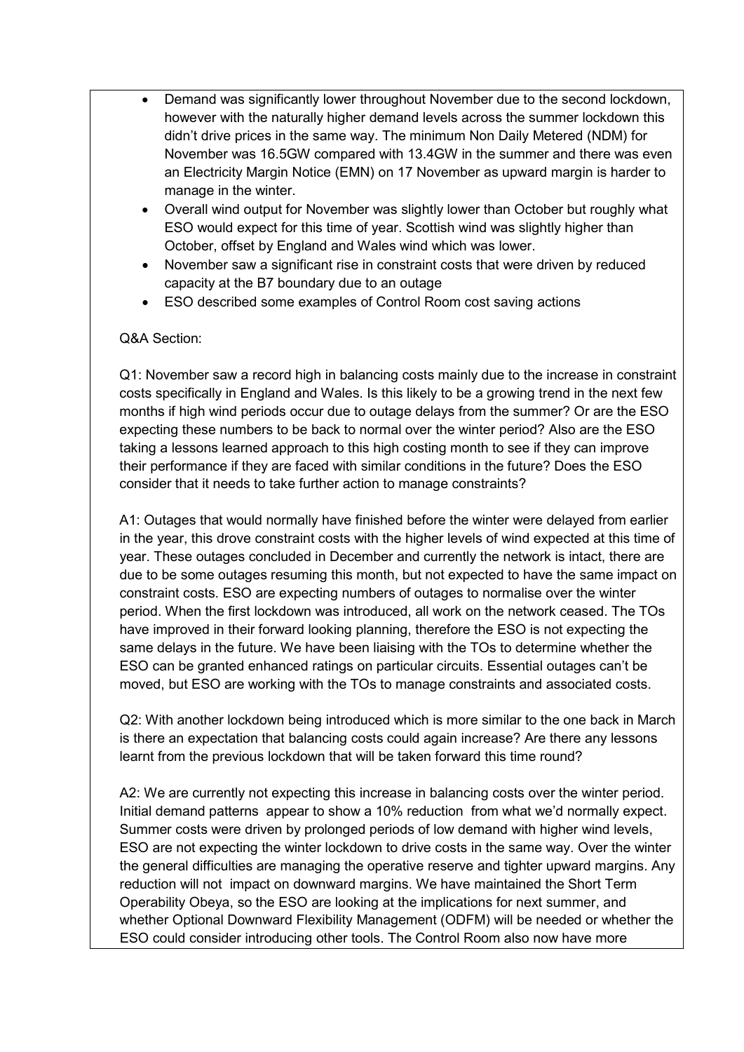- Demand was significantly lower throughout November due to the second lockdown, however with the naturally higher demand levels across the summer lockdown this didn't drive prices in the same way. The minimum Non Daily Metered (NDM) for November was 16.5GW compared with 13.4GW in the summer and there was even an Electricity Margin Notice (EMN) on 17 November as upward margin is harder to manage in the winter.
- Overall wind output for November was slightly lower than October but roughly what ESO would expect for this time of year. Scottish wind was slightly higher than October, offset by England and Wales wind which was lower.
- November saw a significant rise in constraint costs that were driven by reduced capacity at the B7 boundary due to an outage
- ESO described some examples of Control Room cost saving actions

### Q&A Section:

Q1: November saw a record high in balancing costs mainly due to the increase in constraint costs specifically in England and Wales. Is this likely to be a growing trend in the next few months if high wind periods occur due to outage delays from the summer? Or are the ESO expecting these numbers to be back to normal over the winter period? Also are the ESO taking a lessons learned approach to this high costing month to see if they can improve their performance if they are faced with similar conditions in the future? Does the ESO consider that it needs to take further action to manage constraints?

A1: Outages that would normally have finished before the winter were delayed from earlier in the year, this drove constraint costs with the higher levels of wind expected at this time of year. These outages concluded in December and currently the network is intact, there are due to be some outages resuming this month, but not expected to have the same impact on constraint costs. ESO are expecting numbers of outages to normalise over the winter period. When the first lockdown was introduced, all work on the network ceased. The TOs have improved in their forward looking planning, therefore the ESO is not expecting the same delays in the future. We have been liaising with the TOs to determine whether the ESO can be granted enhanced ratings on particular circuits. Essential outages can't be moved, but ESO are working with the TOs to manage constraints and associated costs.

Q2: With another lockdown being introduced which is more similar to the one back in March is there an expectation that balancing costs could again increase? Are there any lessons learnt from the previous lockdown that will be taken forward this time round?

A2: We are currently not expecting this increase in balancing costs over the winter period. Initial demand patterns appear to show a 10% reduction from what we'd normally expect. Summer costs were driven by prolonged periods of low demand with higher wind levels, ESO are not expecting the winter lockdown to drive costs in the same way. Over the winter the general difficulties are managing the operative reserve and tighter upward margins. Any reduction will not impact on downward margins. We have maintained the Short Term Operability Obeya, so the ESO are looking at the implications for next summer, and whether Optional Downward Flexibility Management (ODFM) will be needed or whether the ESO could consider introducing other tools. The Control Room also now have more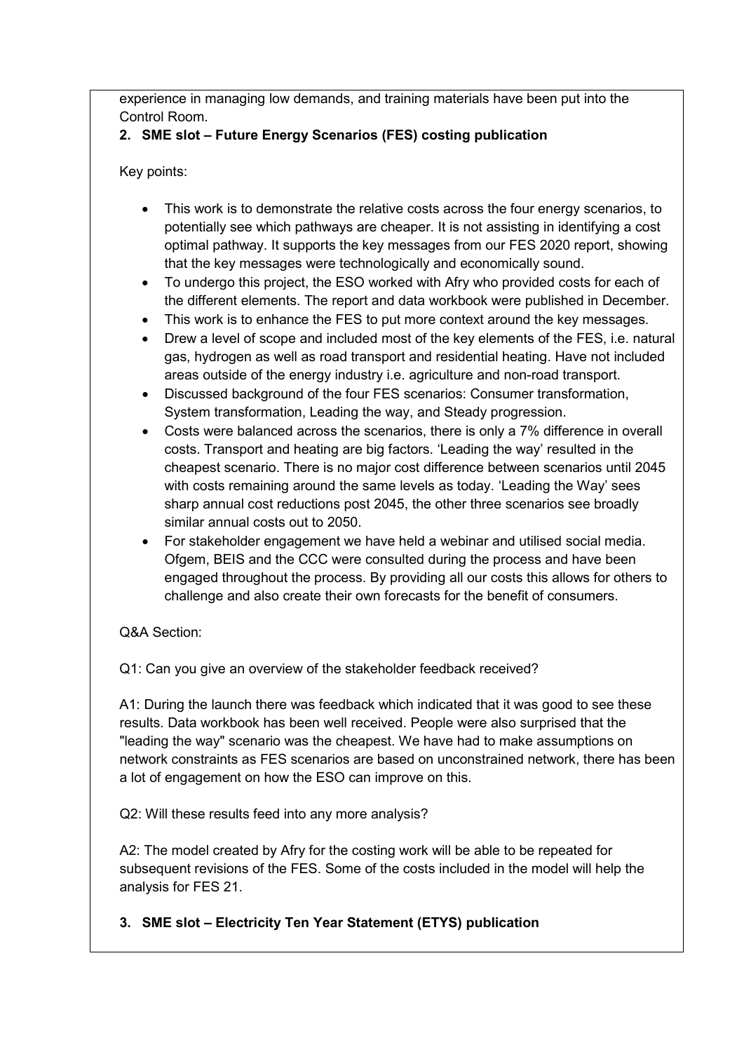experience in managing low demands, and training materials have been put into the Control Room.

# **2. SME slot – Future Energy Scenarios (FES) costing publication**

Key points:

- This work is to demonstrate the relative costs across the four energy scenarios, to potentially see which pathways are cheaper. It is not assisting in identifying a cost optimal pathway. It supports the key messages from our FES 2020 report, showing that the key messages were technologically and economically sound.
- To undergo this project, the ESO worked with Afry who provided costs for each of the different elements. The report and data workbook were published in December.
- This work is to enhance the FES to put more context around the key messages.
- Drew a level of scope and included most of the key elements of the FES, i.e. natural gas, hydrogen as well as road transport and residential heating. Have not included areas outside of the energy industry i.e. agriculture and non-road transport.
- Discussed background of the four FES scenarios: Consumer transformation, System transformation, Leading the way, and Steady progression.
- Costs were balanced across the scenarios, there is only a 7% difference in overall costs. Transport and heating are big factors. 'Leading the way' resulted in the cheapest scenario. There is no major cost difference between scenarios until 2045 with costs remaining around the same levels as today. 'Leading the Way' sees sharp annual cost reductions post 2045, the other three scenarios see broadly similar annual costs out to 2050.
- For stakeholder engagement we have held a webinar and utilised social media. Ofgem, BEIS and the CCC were consulted during the process and have been engaged throughout the process. By providing all our costs this allows for others to challenge and also create their own forecasts for the benefit of consumers.

## Q&A Section:

Q1: Can you give an overview of the stakeholder feedback received?

A1: During the launch there was feedback which indicated that it was good to see these results. Data workbook has been well received. People were also surprised that the "leading the way" scenario was the cheapest. We have had to make assumptions on network constraints as FES scenarios are based on unconstrained network, there has been a lot of engagement on how the ESO can improve on this.

Q2: Will these results feed into any more analysis?

A2: The model created by Afry for the costing work will be able to be repeated for subsequent revisions of the FES. Some of the costs included in the model will help the analysis for FES 21.

## **3. SME slot – Electricity Ten Year Statement (ETYS) publication**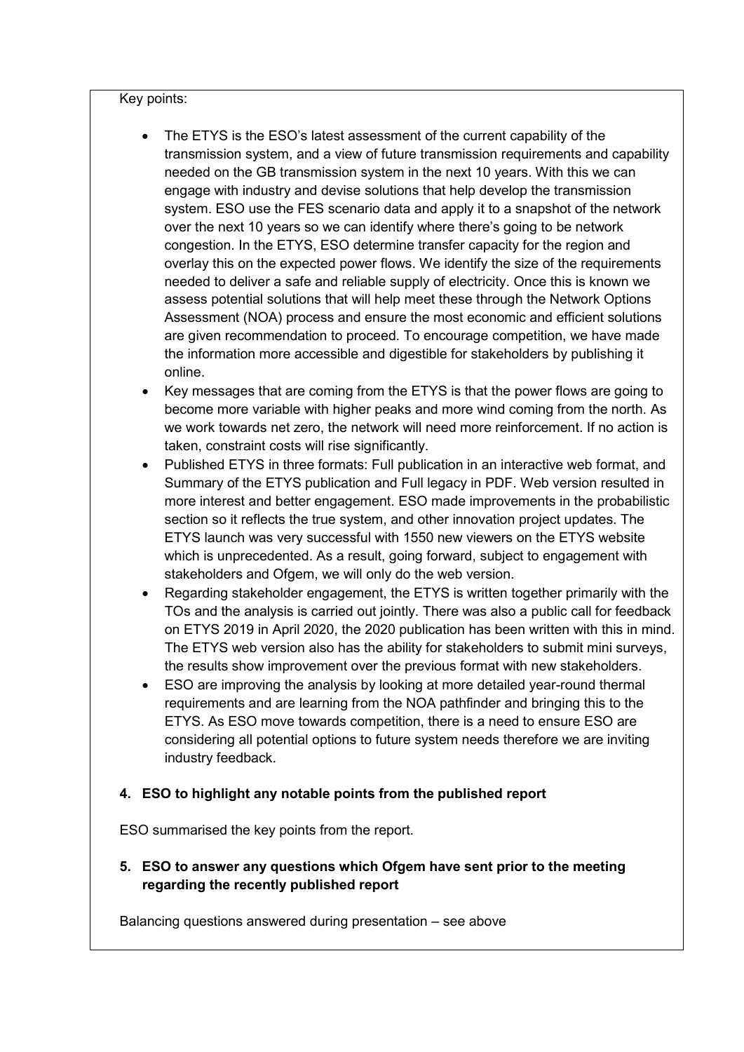Key points:

- The ETYS is the ESO's latest assessment of the current capability of the transmission system, and a view of future transmission requirements and capability needed on the GB transmission system in the next 10 years. With this we can engage with industry and devise solutions that help develop the transmission system. ESO use the FES scenario data and apply it to a snapshot of the network over the next 10 years so we can identify where there's going to be network congestion. In the ETYS, ESO determine transfer capacity for the region and overlay this on the expected power flows. We identify the size of the requirements needed to deliver a safe and reliable supply of electricity. Once this is known we assess potential solutions that will help meet these through the Network Options Assessment (NOA) process and ensure the most economic and efficient solutions are given recommendation to proceed. To encourage competition, we have made the information more accessible and digestible for stakeholders by publishing it online.
- Key messages that are coming from the ETYS is that the power flows are going to become more variable with higher peaks and more wind coming from the north. As we work towards net zero, the network will need more reinforcement. If no action is taken, constraint costs will rise significantly.
- Published ETYS in three formats: Full publication in an interactive web format, and Summary of the ETYS publication and Full legacy in PDF. Web version resulted in more interest and better engagement. ESO made improvements in the probabilistic section so it reflects the true system, and other innovation project updates. The ETYS launch was very successful with 1550 new viewers on the ETYS website which is unprecedented. As a result, going forward, subject to engagement with stakeholders and Ofgem, we will only do the web version.
- Regarding stakeholder engagement, the ETYS is written together primarily with the TOs and the analysis is carried out jointly. There was also a public call for feedback on ETYS 2019 in April 2020, the 2020 publication has been written with this in mind. The ETYS web version also has the ability for stakeholders to submit mini surveys, the results show improvement over the previous format with new stakeholders.
- ESO are improving the analysis by looking at more detailed year-round thermal requirements and are learning from the NOA pathfinder and bringing this to the ETYS. As ESO move towards competition, there is a need to ensure ESO are considering all potential options to future system needs therefore we are inviting industry feedback.

### **4. ESO to highlight any notable points from the published report**

ESO summarised the key points from the report.

## **5. ESO to answer any questions which Ofgem have sent prior to the meeting regarding the recently published report**

Balancing questions answered during presentation – see above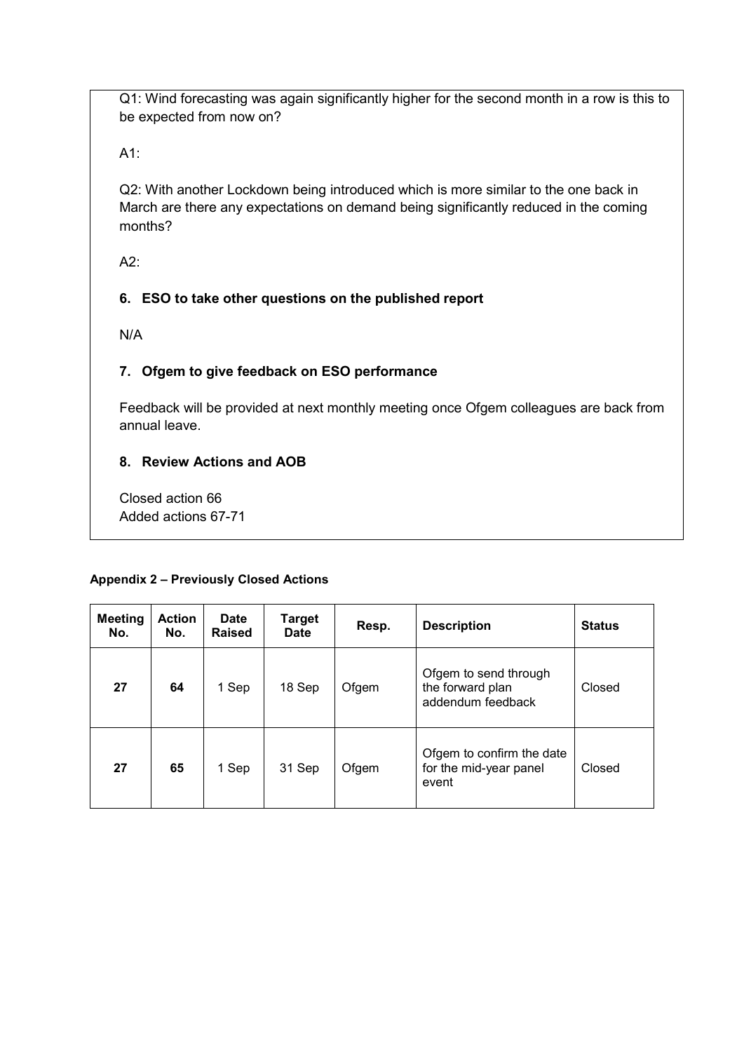Q1: Wind forecasting was again significantly higher for the second month in a row is this to be expected from now on?

A1:

Q2: With another Lockdown being introduced which is more similar to the one back in March are there any expectations on demand being significantly reduced in the coming months?

A2:

## **6. ESO to take other questions on the published report**

N/A

## **7. Ofgem to give feedback on ESO performance**

Feedback will be provided at next monthly meeting once Ofgem colleagues are back from annual leave.

### **8. Review Actions and AOB**

Closed action 66 Added actions 67-71

#### **Appendix 2 – Previously Closed Actions**

| <b>Meeting</b><br>No. | <b>Action</b><br>No. | <b>Date</b><br><b>Raised</b> | <b>Target</b><br><b>Date</b> | Resp. | <b>Description</b>                                             | <b>Status</b> |
|-----------------------|----------------------|------------------------------|------------------------------|-------|----------------------------------------------------------------|---------------|
| 27                    | 64                   | 1 Sep                        | 18 Sep                       | Ofgem | Ofgem to send through<br>the forward plan<br>addendum feedback | Closed        |
| 27                    | 65                   | 1 Sep                        | 31 Sep                       | Ofgem | Ofgem to confirm the date<br>for the mid-year panel<br>event   | Closed        |